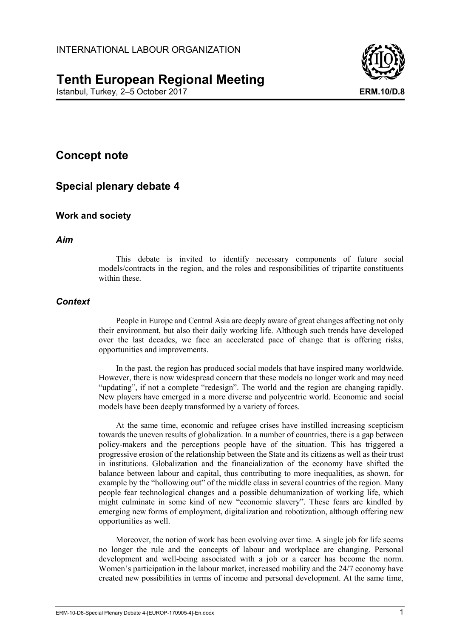# **Tenth European Regional Meeting**

Istanbul, Turkey, 2–5 October 2017 **ERM.10/D.8**



# **Concept note**

# **Special plenary debate 4**

## **Work and society**

### *Aim*

This debate is invited to identify necessary components of future social models/contracts in the region, and the roles and responsibilities of tripartite constituents within these.

### *Context*

People in Europe and Central Asia are deeply aware of great changes affecting not only their environment, but also their daily working life. Although such trends have developed over the last decades, we face an accelerated pace of change that is offering risks, opportunities and improvements.

In the past, the region has produced social models that have inspired many worldwide. However, there is now widespread concern that these models no longer work and may need "updating", if not a complete "redesign". The world and the region are changing rapidly. New players have emerged in a more diverse and polycentric world. Economic and social models have been deeply transformed by a variety of forces.

At the same time, economic and refugee crises have instilled increasing scepticism towards the uneven results of globalization. In a number of countries, there is a gap between policy-makers and the perceptions people have of the situation. This has triggered a progressive erosion of the relationship between the State and its citizens as well as their trust in institutions. Globalization and the financialization of the economy have shifted the balance between labour and capital, thus contributing to more inequalities, as shown, for example by the "hollowing out" of the middle class in several countries of the region. Many people fear technological changes and a possible dehumanization of working life, which might culminate in some kind of new "economic slavery". These fears are kindled by emerging new forms of employment, digitalization and robotization, although offering new opportunities as well.

Moreover, the notion of work has been evolving over time. A single job for life seems no longer the rule and the concepts of labour and workplace are changing. Personal development and well-being associated with a job or a career has become the norm. Women's participation in the labour market, increased mobility and the 24/7 economy have created new possibilities in terms of income and personal development. At the same time,